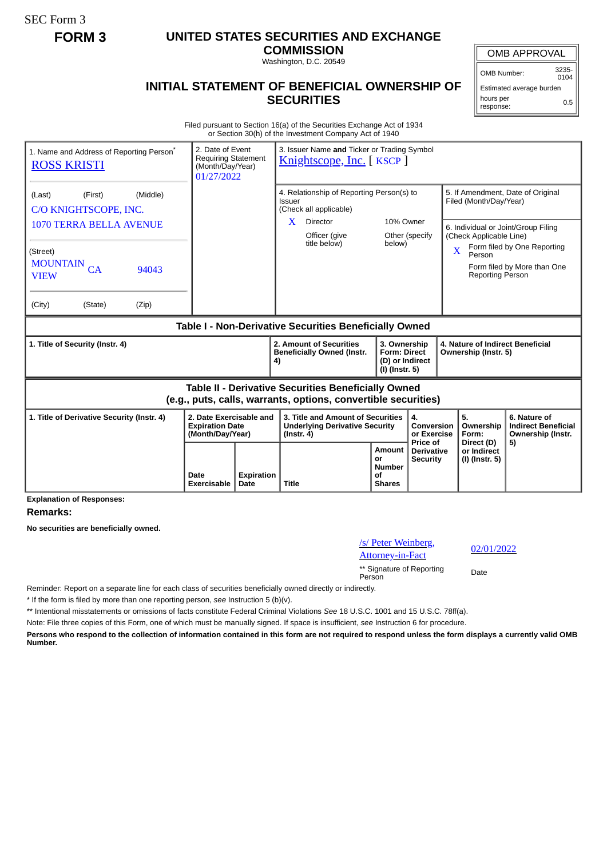SEC Form 3

## **FORM 3 UNITED STATES SECURITIES AND EXCHANGE**

**COMMISSION** Washington, D.C. 20549

## **INITIAL STATEMENT OF BENEFICIAL OWNERSHIP OF SECURITIES**

OMB APPROVAL

 $0104$ 

Estimated average burden hours per response: 0.5

Filed pursuant to Section 16(a) of the Securities Exchange Act of 1934 or Section 30(h) of the Investment Company Act of 1940

| 1. Name and Address of Reporting Person <sup>®</sup><br><b>ROSS KRISTI</b> |                                                                       | 2. Date of Event<br>3. Issuer Name and Ticker or Trading Symbol<br><b>Requiring Statement</b><br>Knightscope, Inc. [KSCP]<br>(Month/Day/Year)<br>01/27/2022 |                                                                                                                              |                                                                            |                                             |                                                             |                                                                                                         |                                                                       |
|----------------------------------------------------------------------------|-----------------------------------------------------------------------|-------------------------------------------------------------------------------------------------------------------------------------------------------------|------------------------------------------------------------------------------------------------------------------------------|----------------------------------------------------------------------------|---------------------------------------------|-------------------------------------------------------------|---------------------------------------------------------------------------------------------------------|-----------------------------------------------------------------------|
| (Middle)<br>(First)<br>(Last)<br>C/O KNIGHTSCOPE, INC.                     |                                                                       |                                                                                                                                                             | 4. Relationship of Reporting Person(s) to<br>Issuer<br>(Check all applicable)                                                |                                                                            |                                             | 5. If Amendment, Date of Original<br>Filed (Month/Day/Year) |                                                                                                         |                                                                       |
| 1070 TERRA BELLA AVENUE<br>(Street)                                        |                                                                       |                                                                                                                                                             | Director<br>X<br>Officer (give<br>title below)                                                                               | 10% Owner<br>below)                                                        | Other (specify                              | $\overline{\mathbf{X}}$                                     | 6. Individual or Joint/Group Filing<br>(Check Applicable Line)<br>Form filed by One Reporting<br>Person |                                                                       |
| <b>MOUNTAIN</b><br>CA<br>94043<br><b>VIEW</b>                              |                                                                       |                                                                                                                                                             |                                                                                                                              |                                                                            |                                             |                                                             | <b>Reporting Person</b>                                                                                 | Form filed by More than One                                           |
| (City)<br>(State)<br>(Zip)                                                 |                                                                       |                                                                                                                                                             |                                                                                                                              |                                                                            |                                             |                                                             |                                                                                                         |                                                                       |
| Table I - Non-Derivative Securities Beneficially Owned                     |                                                                       |                                                                                                                                                             |                                                                                                                              |                                                                            |                                             |                                                             |                                                                                                         |                                                                       |
|                                                                            |                                                                       |                                                                                                                                                             |                                                                                                                              |                                                                            |                                             |                                                             |                                                                                                         |                                                                       |
| 1. Title of Security (Instr. 4)                                            |                                                                       | 4)                                                                                                                                                          | 2. Amount of Securities<br><b>Beneficially Owned (Instr.</b>                                                                 | 3. Ownership<br><b>Form: Direct</b><br>(D) or Indirect<br>$(I)$ (Instr. 5) |                                             |                                                             | Ownership (Instr. 5)                                                                                    | 4. Nature of Indirect Beneficial                                      |
|                                                                            |                                                                       |                                                                                                                                                             | <b>Table II - Derivative Securities Beneficially Owned</b><br>(e.g., puts, calls, warrants, options, convertible securities) |                                                                            |                                             |                                                             |                                                                                                         |                                                                       |
| 1. Title of Derivative Security (Instr. 4)                                 | 2. Date Exercisable and<br><b>Expiration Date</b><br>(Month/Day/Year) |                                                                                                                                                             | 3. Title and Amount of Securities<br><b>Underlying Derivative Security</b><br>$($ lnstr. 4 $)$                               |                                                                            | 4.<br>Conversion<br>or Exercise<br>Price of | 5.                                                          | Ownership<br>Form:<br>Direct (D)                                                                        | 6. Nature of<br><b>Indirect Beneficial</b><br>Ownership (Instr.<br>5) |

**Explanation of Responses:**

**Remarks:**

**No securities are beneficially owned.**

## /s/ Peter Weinberg, <u>S/ Feter wentberg</u>,  $\frac{02}{01/2022}$ \*\* Signature of Reporting Person Date

Reminder: Report on a separate line for each class of securities beneficially owned directly or indirectly.

\* If the form is filed by more than one reporting person, *see* Instruction 5 (b)(v).

\*\* Intentional misstatements or omissions of facts constitute Federal Criminal Violations *See* 18 U.S.C. 1001 and 15 U.S.C. 78ff(a).

Note: File three copies of this Form, one of which must be manually signed. If space is insufficient, *see* Instruction 6 for procedure.

**Persons who respond to the collection of information contained in this form are not required to respond unless the form displays a currently valid OMB Number.**

OMB Number: 3235-